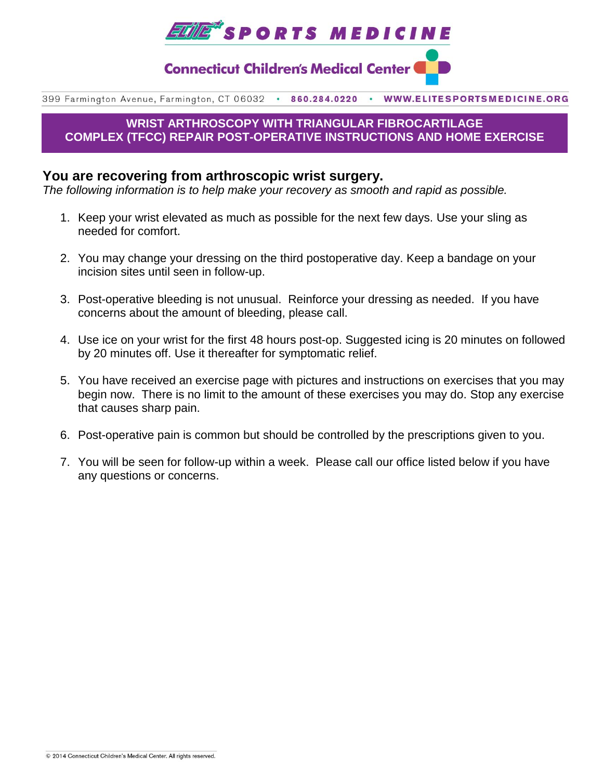

**Connecticut Children's Medical Center (** 

399 Farmington Avenue, Farmington, CT 06032 . 860.284.0220 WWW.ELITESPORTSMEDICINE.ORG

## **WRIST ARTHROSCOPY WITH TRIANGULAR FIBROCARTILAGE COMPLEX (TFCC) REPAIR POST-OPERATIVE INSTRUCTIONS AND HOME EXERCISE**

# **You are recovering from arthroscopic wrist surgery.**

*The following information is to help make your recovery as smooth and rapid as possible.*

- 1. Keep your wrist elevated as much as possible for the next few days. Use your sling as needed for comfort.
- 2. You may change your dressing on the third postoperative day. Keep a bandage on your incision sites until seen in follow-up.
- 3. Post-operative bleeding is not unusual. Reinforce your dressing as needed. If you have concerns about the amount of bleeding, please call.
- 4. Use ice on your wrist for the first 48 hours post-op. Suggested icing is 20 minutes on followed by 20 minutes off. Use it thereafter for symptomatic relief.
- 5. You have received an exercise page with pictures and instructions on exercises that you may begin now. There is no limit to the amount of these exercises you may do. Stop any exercise that causes sharp pain.
- 6. Post-operative pain is common but should be controlled by the prescriptions given to you.
- 7. You will be seen for follow-up within a week. Please call our office listed below if you have any questions or concerns.